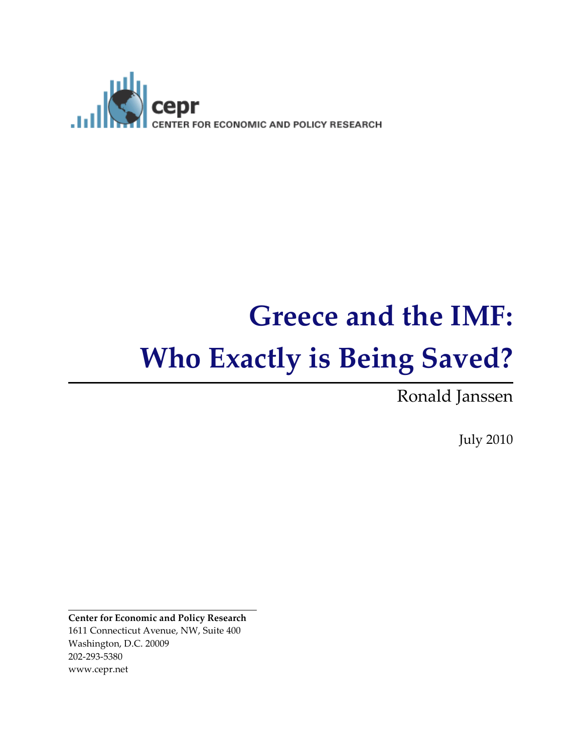

# Greece and the IMF: Who Exactly is Being Saved?

Ronald Janssen

July 2010

Center for Economic and Policy Research 1611 Connecticut Avenue, NW, Suite 400 Washington, D.C. 20009 202-293-5380 www.cepr.net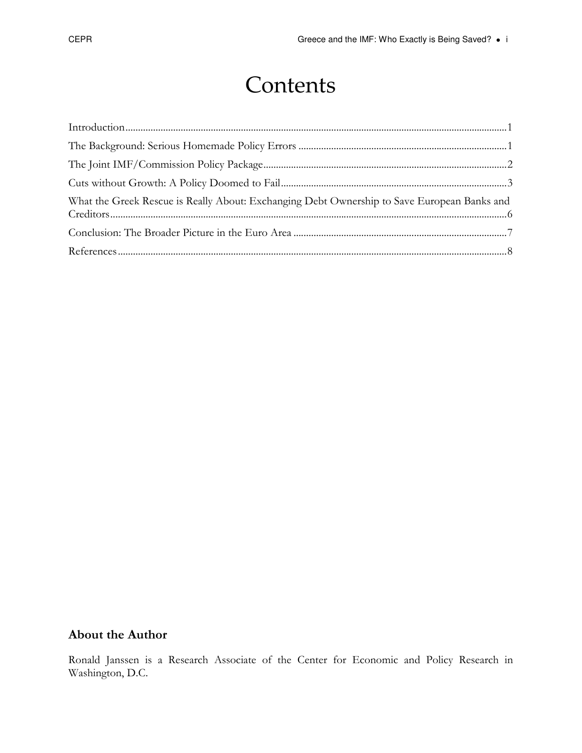## **Contents**

| What the Greek Rescue is Really About: Exchanging Debt Ownership to Save European Banks and |  |
|---------------------------------------------------------------------------------------------|--|
|                                                                                             |  |
|                                                                                             |  |

### About the Author

Ronald Janssen is a Research Associate of the Center for Economic and Policy Research in Washington, D.C.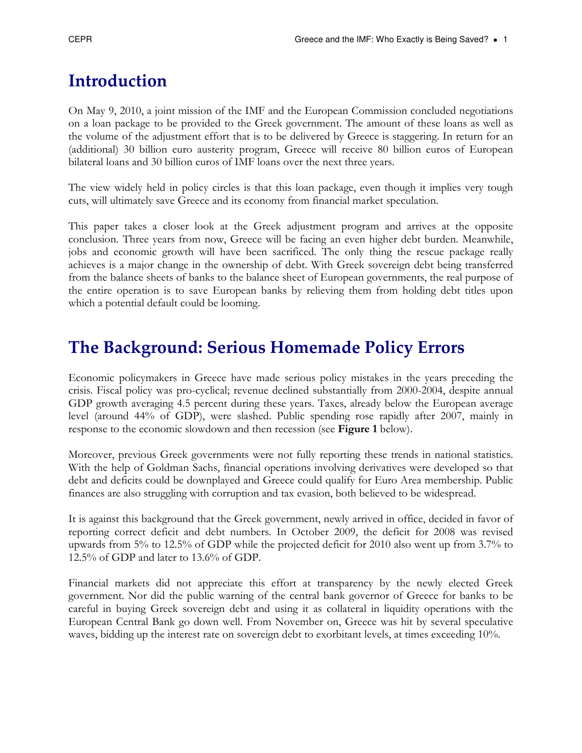### Introduction

On May 9, 2010, a joint mission of the IMF and the European Commission concluded negotiations on a loan package to be provided to the Greek government. The amount of these loans as well as the volume of the adjustment effort that is to be delivered by Greece is staggering. In return for an (additional) 30 billion euro austerity program, Greece will receive 80 billion euros of European bilateral loans and 30 billion euros of IMF loans over the next three years.

The view widely held in policy circles is that this loan package, even though it implies very tough cuts, will ultimately save Greece and its economy from financial market speculation.

This paper takes a closer look at the Greek adjustment program and arrives at the opposite conclusion. Three years from now, Greece will be facing an even higher debt burden. Meanwhile, jobs and economic growth will have been sacrificed. The only thing the rescue package really achieves is a major change in the ownership of debt. With Greek sovereign debt being transferred from the balance sheets of banks to the balance sheet of European governments, the real purpose of the entire operation is to save European banks by relieving them from holding debt titles upon which a potential default could be looming.

### The Background: Serious Homemade Policy Errors

Economic policymakers in Greece have made serious policy mistakes in the years preceding the crisis. Fiscal policy was pro-cyclical; revenue declined substantially from 2000-2004, despite annual GDP growth averaging 4.5 percent during these years. Taxes, already below the European average level (around 44% of GDP), were slashed. Public spending rose rapidly after 2007, mainly in response to the economic slowdown and then recession (see Figure 1 below).

Moreover, previous Greek governments were not fully reporting these trends in national statistics. With the help of Goldman Sachs, financial operations involving derivatives were developed so that debt and deficits could be downplayed and Greece could qualify for Euro Area membership. Public finances are also struggling with corruption and tax evasion, both believed to be widespread.

It is against this background that the Greek government, newly arrived in office, decided in favor of reporting correct deficit and debt numbers. In October 2009, the deficit for 2008 was revised upwards from 5% to 12.5% of GDP while the projected deficit for 2010 also went up from 3.7% to 12.5% of GDP and later to 13.6% of GDP.

Financial markets did not appreciate this effort at transparency by the newly elected Greek government. Nor did the public warning of the central bank governor of Greece for banks to be careful in buying Greek sovereign debt and using it as collateral in liquidity operations with the European Central Bank go down well. From November on, Greece was hit by several speculative waves, bidding up the interest rate on sovereign debt to exorbitant levels, at times exceeding 10%.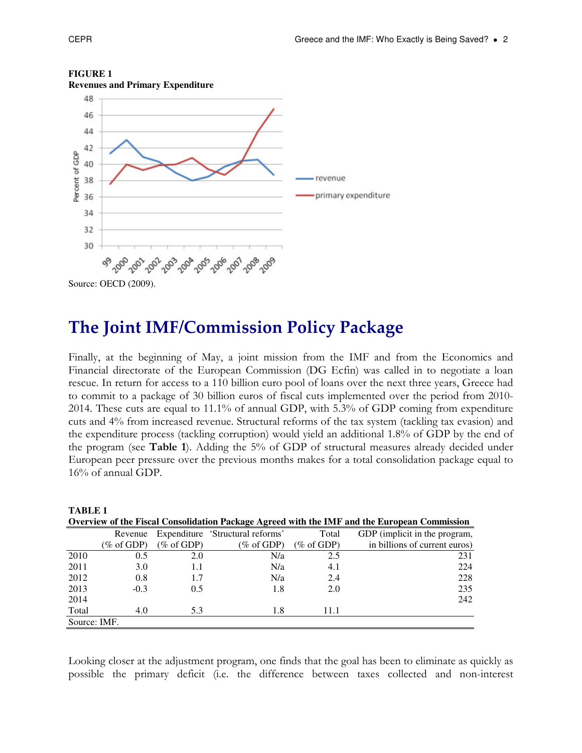

#### **FIGURE 1**



Finally, at the beginning of May, a joint mission from the IMF and from the Economics and Financial directorate of the European Commission (DG Ecfin) was called in to negotiate a loan rescue. In return for access to a 110 billion euro pool of loans over the next three years, Greece had to commit to a package of 30 billion euros of fiscal cuts implemented over the period from 2010- 2014. These cuts are equal to 11.1% of annual GDP, with 5.3% of GDP coming from expenditure cuts and 4% from increased revenue. Structural reforms of the tax system (tackling tax evasion) and the expenditure process (tackling corruption) would yield an additional 1.8% of GDP by the end of the program (see Table 1). Adding the 5% of GDP of structural measures already decided under European peer pressure over the previous months makes for a total consolidation package equal to 16% of annual GDP.

| <b>TABLE 1</b>                                                                               |            |            |                                  |            |                               |  |  |
|----------------------------------------------------------------------------------------------|------------|------------|----------------------------------|------------|-------------------------------|--|--|
| Overview of the Fiscal Consolidation Package Agreed with the IMF and the European Commission |            |            |                                  |            |                               |  |  |
|                                                                                              | Revenue    |            | Expenditure 'Structural reforms' | Total      | GDP (implicit in the program, |  |  |
|                                                                                              | (% of GDP) | (% of GDP) | (% of GDP)                       | (% of GDP) | in billions of current euros) |  |  |
| 2010                                                                                         | 0.5        | 2.0        | N/a                              | 2.5        | 231                           |  |  |
| 2011                                                                                         | 3.0        | 1.1        | N/a                              | 4.1        | 224                           |  |  |
| 2012                                                                                         | 0.8        | 1.7        | N/a                              | 2.4        | 228                           |  |  |
| 2013                                                                                         | $-0.3$     | 0.5        | 1.8                              | 2.0        | 235                           |  |  |
| 2014                                                                                         |            |            |                                  |            | 242                           |  |  |
| Total                                                                                        | 4.0        | 5.3        | 1.8                              | 11.1       |                               |  |  |
| Source: IMF.                                                                                 |            |            |                                  |            |                               |  |  |

Looking closer at the adjustment program, one finds that the goal has been to eliminate as quickly as possible the primary deficit (i.e. the difference between taxes collected and non-interest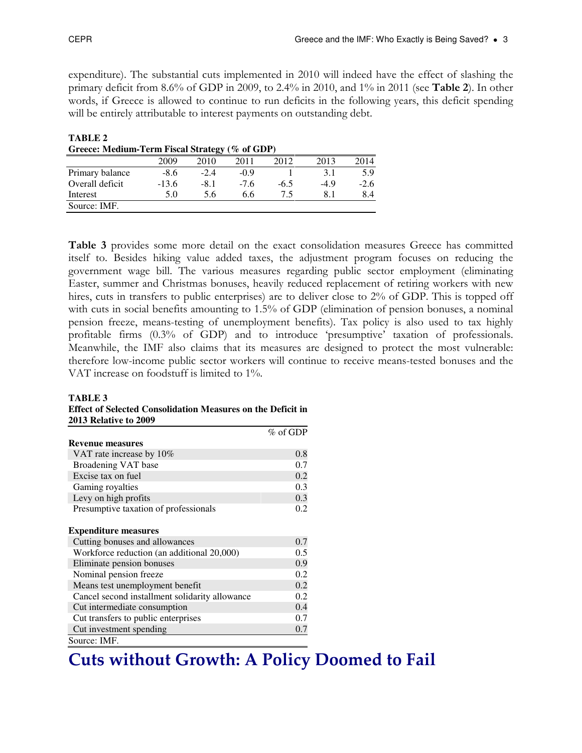**TABLE 2** 

expenditure). The substantial cuts implemented in 2010 will indeed have the effect of slashing the primary deficit from 8.6% of GDP in 2009, to 2.4% in 2010, and 1% in 2011 (see Table 2). In other words, if Greece is allowed to continue to run deficits in the following years, this deficit spending will be entirely attributable to interest payments on outstanding debt.

| Greece: Medium-Term Fiscal Strategy (% of GDP) |         |        |        |        |        |        |  |
|------------------------------------------------|---------|--------|--------|--------|--------|--------|--|
|                                                | 2009    | 2010   | 2011   | 2012   | 2013   | 2014   |  |
| Primary balance                                | $-8.6$  | $-2.4$ | $-0.9$ |        | 3.1    | 5.9    |  |
| Overall deficit                                | $-13.6$ | $-8.1$ | $-7.6$ | $-6.5$ | $-4.9$ | $-2.6$ |  |
| Interest                                       | 5.0     | 5.6    | 6.6    | 75     | 8.1    | 8.4    |  |
| Source: IMF.                                   |         |        |        |        |        |        |  |

Table 3 provides some more detail on the exact consolidation measures Greece has committed itself to. Besides hiking value added taxes, the adjustment program focuses on reducing the government wage bill. The various measures regarding public sector employment (eliminating Easter, summer and Christmas bonuses, heavily reduced replacement of retiring workers with new hires, cuts in transfers to public enterprises) are to deliver close to 2% of GDP. This is topped off with cuts in social benefits amounting to 1.5% of GDP (elimination of pension bonuses, a nominal pension freeze, means-testing of unemployment benefits). Tax policy is also used to tax highly profitable firms (0.3% of GDP) and to introduce 'presumptive' taxation of professionals. Meanwhile, the IMF also claims that its measures are designed to protect the most vulnerable: therefore low-income public sector workers will continue to receive means-tested bonuses and the VAT increase on foodstuff is limited to 1%.

#### **TABLE 3**

| Effect of Selected Consolidation Measures on the Deficit in |  |
|-------------------------------------------------------------|--|
| <b>2013 Relative to 2009</b>                                |  |

|                                                | $\%$ of GDP |
|------------------------------------------------|-------------|
| Revenue measures                               |             |
| VAT rate increase by 10%                       | 0.8         |
| Broadening VAT base                            | 0.7         |
| Excise tax on fuel                             | 0.2         |
| Gaming royalties                               | 0.3         |
| Levy on high profits                           | 0.3         |
| Presumptive taxation of professionals          | 0.2         |
|                                                |             |
| <b>Expenditure measures</b>                    |             |
| Cutting bonuses and allowances                 | 0.7         |
| Workforce reduction (an additional 20,000)     | 0.5         |
| Eliminate pension bonuses                      | 0.9         |
| Nominal pension freeze                         | 0.2         |
| Means test unemployment benefit                | 0.2         |
| Cancel second installment solidarity allowance | 0.2         |
| Cut intermediate consumption                   | 0.4         |
| Cut transfers to public enterprises            | 0.7         |
| Cut investment spending                        | 0.7         |
| Source: IMF.                                   |             |

### Cuts without Growth: A Policy Doomed to Fail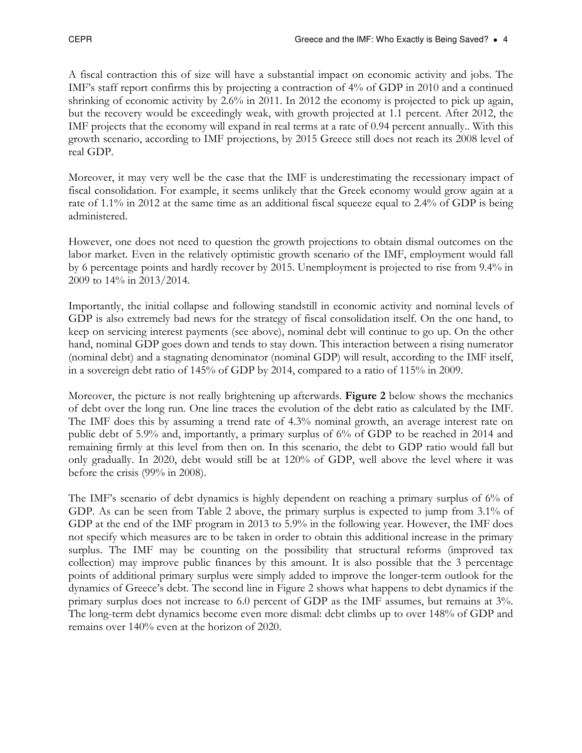A fiscal contraction this of size will have a substantial impact on economic activity and jobs. The IMF's staff report confirms this by projecting a contraction of 4% of GDP in 2010 and a continued shrinking of economic activity by 2.6% in 2011. In 2012 the economy is projected to pick up again, but the recovery would be exceedingly weak, with growth projected at 1.1 percent. After 2012, the IMF projects that the economy will expand in real terms at a rate of 0.94 percent annually.. With this growth scenario, according to IMF projections, by 2015 Greece still does not reach its 2008 level of real GDP.

Moreover, it may very well be the case that the IMF is underestimating the recessionary impact of fiscal consolidation. For example, it seems unlikely that the Greek economy would grow again at a rate of 1.1% in 2012 at the same time as an additional fiscal squeeze equal to 2.4% of GDP is being administered.

However, one does not need to question the growth projections to obtain dismal outcomes on the labor market. Even in the relatively optimistic growth scenario of the IMF, employment would fall by 6 percentage points and hardly recover by 2015. Unemployment is projected to rise from 9.4% in 2009 to 14% in 2013/2014.

Importantly, the initial collapse and following standstill in economic activity and nominal levels of GDP is also extremely bad news for the strategy of fiscal consolidation itself. On the one hand, to keep on servicing interest payments (see above), nominal debt will continue to go up. On the other hand, nominal GDP goes down and tends to stay down. This interaction between a rising numerator (nominal debt) and a stagnating denominator (nominal GDP) will result, according to the IMF itself, in a sovereign debt ratio of 145% of GDP by 2014, compared to a ratio of 115% in 2009.

Moreover, the picture is not really brightening up afterwards. **Figure 2** below shows the mechanics of debt over the long run. One line traces the evolution of the debt ratio as calculated by the IMF. The IMF does this by assuming a trend rate of 4.3% nominal growth, an average interest rate on public debt of 5.9% and, importantly, a primary surplus of 6% of GDP to be reached in 2014 and remaining firmly at this level from then on. In this scenario, the debt to GDP ratio would fall but only gradually. In 2020, debt would still be at 120% of GDP, well above the level where it was before the crisis (99% in 2008).

The IMF's scenario of debt dynamics is highly dependent on reaching a primary surplus of 6% of GDP. As can be seen from Table 2 above, the primary surplus is expected to jump from 3.1% of GDP at the end of the IMF program in 2013 to 5.9% in the following year. However, the IMF does not specify which measures are to be taken in order to obtain this additional increase in the primary surplus. The IMF may be counting on the possibility that structural reforms (improved tax collection) may improve public finances by this amount. It is also possible that the 3 percentage points of additional primary surplus were simply added to improve the longer-term outlook for the dynamics of Greece's debt. The second line in Figure 2 shows what happens to debt dynamics if the primary surplus does not increase to 6.0 percent of GDP as the IMF assumes, but remains at 3%. The long-term debt dynamics become even more dismal: debt climbs up to over 148% of GDP and remains over 140% even at the horizon of 2020.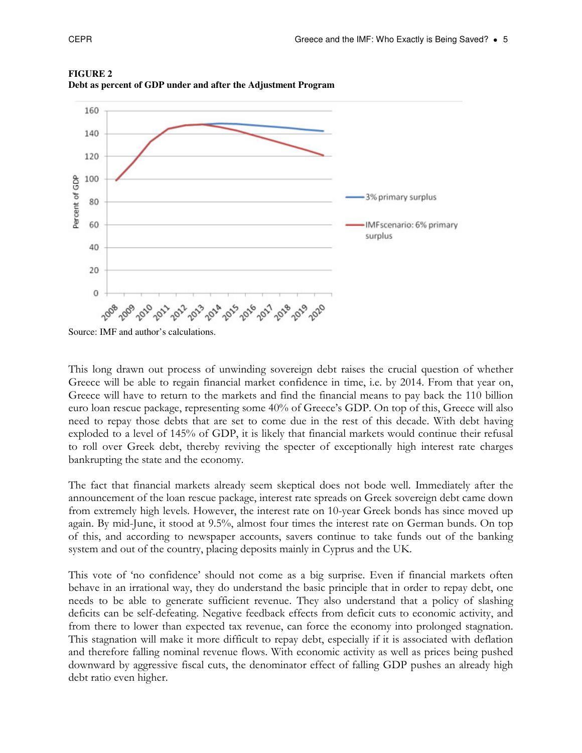

**FIGURE 2 Debt as percent of GDP under and after the Adjustment Program** 

Source: IMF and author's calculations.

This long drawn out process of unwinding sovereign debt raises the crucial question of whether Greece will be able to regain financial market confidence in time, i.e. by 2014. From that year on, Greece will have to return to the markets and find the financial means to pay back the 110 billion euro loan rescue package, representing some 40% of Greece's GDP. On top of this, Greece will also need to repay those debts that are set to come due in the rest of this decade. With debt having exploded to a level of 145% of GDP, it is likely that financial markets would continue their refusal to roll over Greek debt, thereby reviving the specter of exceptionally high interest rate charges bankrupting the state and the economy.

The fact that financial markets already seem skeptical does not bode well. Immediately after the announcement of the loan rescue package, interest rate spreads on Greek sovereign debt came down from extremely high levels. However, the interest rate on 10-year Greek bonds has since moved up again. By mid-June, it stood at 9.5%, almost four times the interest rate on German bunds. On top of this, and according to newspaper accounts, savers continue to take funds out of the banking system and out of the country, placing deposits mainly in Cyprus and the UK.

This vote of 'no confidence' should not come as a big surprise. Even if financial markets often behave in an irrational way, they do understand the basic principle that in order to repay debt, one needs to be able to generate sufficient revenue. They also understand that a policy of slashing deficits can be self-defeating. Negative feedback effects from deficit cuts to economic activity, and from there to lower than expected tax revenue, can force the economy into prolonged stagnation. This stagnation will make it more difficult to repay debt, especially if it is associated with deflation and therefore falling nominal revenue flows. With economic activity as well as prices being pushed downward by aggressive fiscal cuts, the denominator effect of falling GDP pushes an already high debt ratio even higher.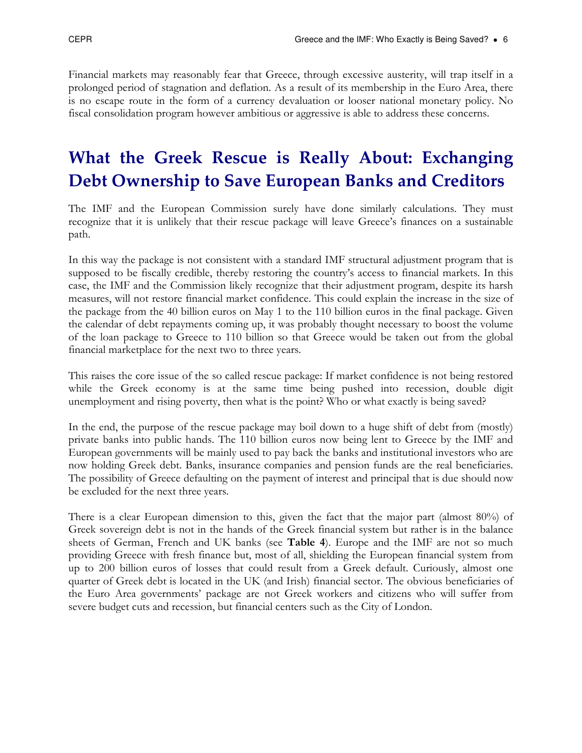Financial markets may reasonably fear that Greece, through excessive austerity, will trap itself in a prolonged period of stagnation and deflation. As a result of its membership in the Euro Area, there is no escape route in the form of a currency devaluation or looser national monetary policy. No fiscal consolidation program however ambitious or aggressive is able to address these concerns.

### What the Greek Rescue is Really About: Exchanging Debt Ownership to Save European Banks and Creditors

The IMF and the European Commission surely have done similarly calculations. They must recognize that it is unlikely that their rescue package will leave Greece's finances on a sustainable path.

In this way the package is not consistent with a standard IMF structural adjustment program that is supposed to be fiscally credible, thereby restoring the country's access to financial markets. In this case, the IMF and the Commission likely recognize that their adjustment program, despite its harsh measures, will not restore financial market confidence. This could explain the increase in the size of the package from the 40 billion euros on May 1 to the 110 billion euros in the final package. Given the calendar of debt repayments coming up, it was probably thought necessary to boost the volume of the loan package to Greece to 110 billion so that Greece would be taken out from the global financial marketplace for the next two to three years.

This raises the core issue of the so called rescue package: If market confidence is not being restored while the Greek economy is at the same time being pushed into recession, double digit unemployment and rising poverty, then what is the point? Who or what exactly is being saved?

In the end, the purpose of the rescue package may boil down to a huge shift of debt from (mostly) private banks into public hands. The 110 billion euros now being lent to Greece by the IMF and European governments will be mainly used to pay back the banks and institutional investors who are now holding Greek debt. Banks, insurance companies and pension funds are the real beneficiaries. The possibility of Greece defaulting on the payment of interest and principal that is due should now be excluded for the next three years.

There is a clear European dimension to this, given the fact that the major part (almost 80%) of Greek sovereign debt is not in the hands of the Greek financial system but rather is in the balance sheets of German, French and UK banks (see Table 4). Europe and the IMF are not so much providing Greece with fresh finance but, most of all, shielding the European financial system from up to 200 billion euros of losses that could result from a Greek default. Curiously, almost one quarter of Greek debt is located in the UK (and Irish) financial sector. The obvious beneficiaries of the Euro Area governments' package are not Greek workers and citizens who will suffer from severe budget cuts and recession, but financial centers such as the City of London.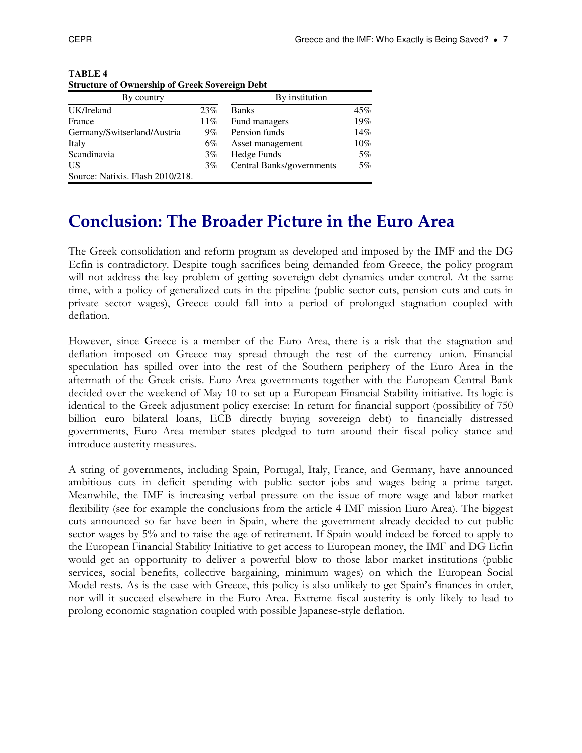| By country                       | By institution |                           |       |
|----------------------------------|----------------|---------------------------|-------|
| UK/Ireland                       | 23%            | <b>Banks</b>              | 45%   |
| France                           | 11%            | Fund managers             | 19%   |
| Germany/Switserland/Austria      | $9\%$          | Pension funds             | 14%   |
| Italy                            | 6%             | Asset management          | 10%   |
| Scandinavia                      | $3\%$          | Hedge Funds               | $5\%$ |
| <b>US</b>                        | $3\%$          | Central Banks/governments | 5%    |
| Source: Natixis. Flash 2010/218. |                |                           |       |

**TABLE 4 Structure of Ownership of Greek Sovereign Debt**

### Conclusion: The Broader Picture in the Euro Area

The Greek consolidation and reform program as developed and imposed by the IMF and the DG Ecfin is contradictory. Despite tough sacrifices being demanded from Greece, the policy program will not address the key problem of getting sovereign debt dynamics under control. At the same time, with a policy of generalized cuts in the pipeline (public sector cuts, pension cuts and cuts in private sector wages), Greece could fall into a period of prolonged stagnation coupled with deflation.

However, since Greece is a member of the Euro Area, there is a risk that the stagnation and deflation imposed on Greece may spread through the rest of the currency union. Financial speculation has spilled over into the rest of the Southern periphery of the Euro Area in the aftermath of the Greek crisis. Euro Area governments together with the European Central Bank decided over the weekend of May 10 to set up a European Financial Stability initiative. Its logic is identical to the Greek adjustment policy exercise: In return for financial support (possibility of 750 billion euro bilateral loans, ECB directly buying sovereign debt) to financially distressed governments, Euro Area member states pledged to turn around their fiscal policy stance and introduce austerity measures.

A string of governments, including Spain, Portugal, Italy, France, and Germany, have announced ambitious cuts in deficit spending with public sector jobs and wages being a prime target. Meanwhile, the IMF is increasing verbal pressure on the issue of more wage and labor market flexibility (see for example the conclusions from the article 4 IMF mission Euro Area). The biggest cuts announced so far have been in Spain, where the government already decided to cut public sector wages by 5% and to raise the age of retirement. If Spain would indeed be forced to apply to the European Financial Stability Initiative to get access to European money, the IMF and DG Ecfin would get an opportunity to deliver a powerful blow to those labor market institutions (public services, social benefits, collective bargaining, minimum wages) on which the European Social Model rests. As is the case with Greece, this policy is also unlikely to get Spain's finances in order, nor will it succeed elsewhere in the Euro Area. Extreme fiscal austerity is only likely to lead to prolong economic stagnation coupled with possible Japanese-style deflation.